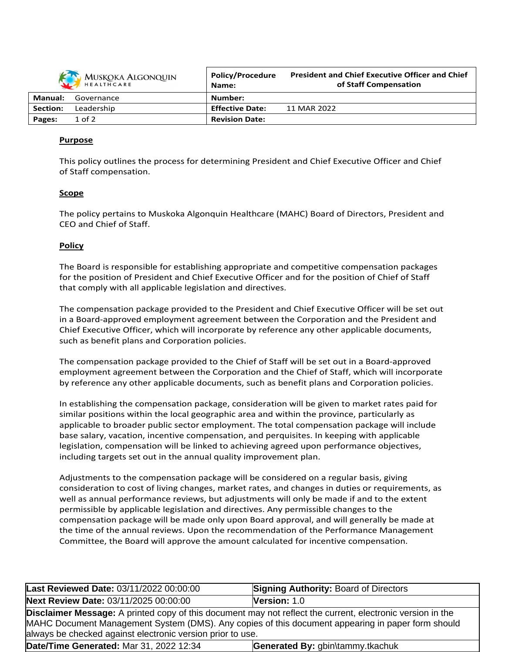| MUSKOKA ALGONQUIN |            | <b>Policy/Procedure</b><br>Name: | <b>President and Chief Executive Officer and Chief</b><br>of Staff Compensation |
|-------------------|------------|----------------------------------|---------------------------------------------------------------------------------|
| <b>Manual:</b>    | Governance | Number:                          |                                                                                 |
| Section:          | Leadership | <b>Effective Date:</b>           | 11 MAR 2022                                                                     |
| Pages:            | $1$ of $2$ | <b>Revision Date:</b>            |                                                                                 |

# **Purpose**

This policy outlines the process for determining President and Chief Executive Officer and Chief of Staff compensation.

### **Scope**

The policy pertains to Muskoka Algonquin Healthcare (MAHC) Board of Directors, President and CEO and Chief of Staff.

### **Policy**

The Board is responsible for establishing appropriate and competitive compensation packages for the position of President and Chief Executive Officer and for the position of Chief of Staff that comply with all applicable legislation and directives.

The compensation package provided to the President and Chief Executive Officer will be set out in a Board-approved employment agreement between the Corporation and the President and Chief Executive Officer, which will incorporate by reference any other applicable documents, such as benefit plans and Corporation policies.

The compensation package provided to the Chief of Staff will be set out in a Board-approved employment agreement between the Corporation and the Chief of Staff, which will incorporate by reference any other applicable documents, such as benefit plans and Corporation policies.

In establishing the compensation package, consideration will be given to market rates paid for similar positions within the local geographic area and within the province, particularly as applicable to broader public sector employment. The total compensation package will include base salary, vacation, incentive compensation, and perquisites. In keeping with applicable legislation, compensation will be linked to achieving agreed upon performance objectives, including targets set out in the annual quality improvement plan.

Adjustments to the compensation package will be considered on a regular basis, giving consideration to cost of living changes, market rates, and changes in duties or requirements, as well as annual performance reviews, but adjustments will only be made if and to the extent permissible by applicable legislation and directives. Any permissible changes to the compensation package will be made only upon Board approval, and will generally be made at the time of the annual reviews. Upon the recommendation of the Performance Management Committee, the Board will approve the amount calculated for incentive compensation.

| Last Reviewed Date: 03/11/2022 00:00:00                                                                                                                                                                                                                                              | <b>Signing Authority: Board of Directors</b> |  |  |  |  |
|--------------------------------------------------------------------------------------------------------------------------------------------------------------------------------------------------------------------------------------------------------------------------------------|----------------------------------------------|--|--|--|--|
| Next Review Date: 03/11/2025 00:00:00                                                                                                                                                                                                                                                | Version: 1.0                                 |  |  |  |  |
| <b>Disclaimer Message:</b> A printed copy of this document may not reflect the current, electronic version in the<br>MAHC Document Management System (DMS). Any copies of this document appearing in paper form should<br>always be checked against electronic version prior to use. |                                              |  |  |  |  |
| Date/Time Generated: Mar 31, 2022 12:34                                                                                                                                                                                                                                              | Generated By: gbin\tammy.tkachuk             |  |  |  |  |